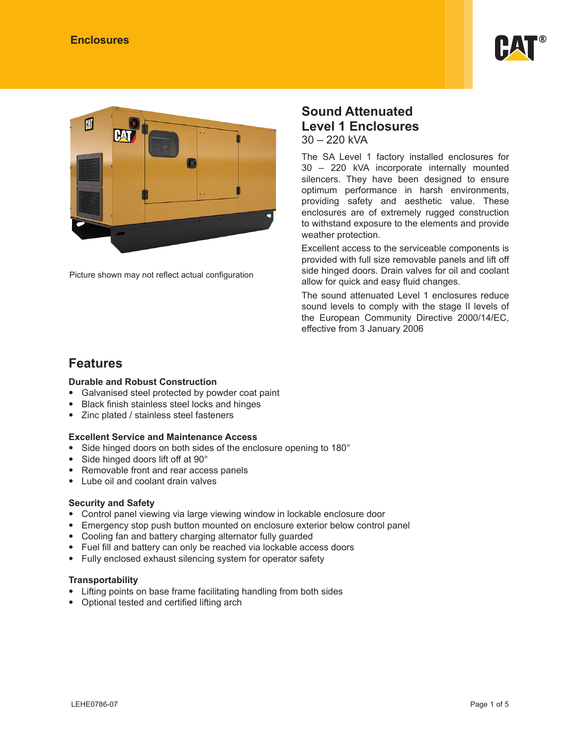



Picture shown may not reflect actual configuration

### **Sound Attenuated Level 1 Enclosures** 30 – 220 kVA

The SA Level 1 factory installed enclosures for 30 – 220 kVA incorporate internally mounted silencers. They have been designed to ensure optimum performance in harsh environments, providing safety and aesthetic value. These enclosures are of extremely rugged construction to withstand exposure to the elements and provide weather protection.

Excellent access to the serviceable components is provided with full size removable panels and lift off side hinged doors. Drain valves for oil and coolant allow for quick and easy fluid changes.

The sound attenuated Level 1 enclosures reduce sound levels to comply with the stage II levels of the European Community Directive 2000/14/EC, effective from 3 January 2006

### **Features**

### **Durable and Robust Construction**

- Galvanised steel protected by powder coat paint
- Black finish stainless steel locks and hinges
- Zinc plated / stainless steel fasteners

### **Excellent Service and Maintenance Access**

- Side hinged doors on both sides of the enclosure opening to 180°
- Side hinged doors lift off at 90°
- Removable front and rear access panels
- Lube oil and coolant drain valves

### **Security and Safety**

- Control panel viewing via large viewing window in lockable enclosure door
- Emergency stop push button mounted on enclosure exterior below control panel
- Cooling fan and battery charging alternator fully guarded
- Fuel fill and battery can only be reached via lockable access doors
- Fully enclosed exhaust silencing system for operator safety

#### **Transportability**

- Lifting points on base frame facilitating handling from both sides
- Optional tested and certified lifting arch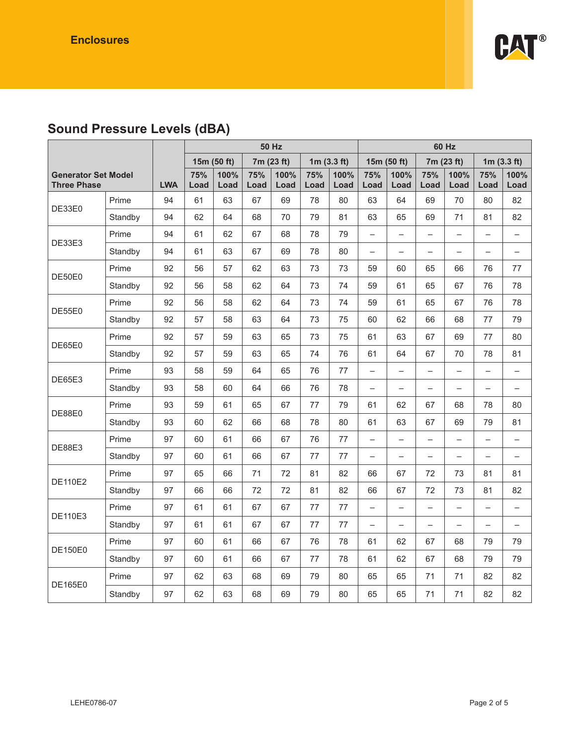

# **Sound Pressure Levels (dBA)**

|                                                  |         |            | <b>50 Hz</b> |              |             | 60 Hz        |             |               |                          |                          |                          |                          |                          |                          |
|--------------------------------------------------|---------|------------|--------------|--------------|-------------|--------------|-------------|---------------|--------------------------|--------------------------|--------------------------|--------------------------|--------------------------|--------------------------|
|                                                  |         |            |              | 15m (50 ft)  |             | 7m (23 ft)   |             | 1 $m(3.3 ft)$ |                          | 15m (50 ft)              |                          | 7m (23 ft)               |                          | 1 $m(3.3 ft)$            |
| <b>Generator Set Model</b><br><b>Three Phase</b> |         | <b>LWA</b> | 75%<br>Load  | 100%<br>Load | 75%<br>Load | 100%<br>Load | 75%<br>Load | 100%<br>Load  | 75%<br>Load              | 100%<br>Load             | 75%<br>Load              | 100%<br>Load             | 75%<br>Load              | 100%<br>Load             |
|                                                  | Prime   | 94         | 61           | 63           | 67          | 69           | 78          | 80            | 63                       | 64                       | 69                       | 70                       | 80                       | 82                       |
| DE33E0                                           | Standby | 94         | 62           | 64           | 68          | 70           | 79          | 81            | 63                       | 65                       | 69                       | 71                       | 81                       | 82                       |
|                                                  | Prime   | 94         | 61           | 62           | 67          | 68           | 78          | 79            | $\qquad \qquad -$        | $\overline{\phantom{0}}$ | $\overline{\phantom{0}}$ | $\overline{\phantom{0}}$ | $\overline{\phantom{0}}$ | $\qquad \qquad -$        |
| DE33E3                                           | Standby | 94         | 61           | 63           | 67          | 69           | 78          | 80            | $\overline{\phantom{0}}$ | $\overline{\phantom{0}}$ | $\overline{\phantom{0}}$ | —                        | $\overline{\phantom{0}}$ | $\overline{\phantom{0}}$ |
|                                                  | Prime   | 92         | 56           | 57           | 62          | 63           | 73          | 73            | 59                       | 60                       | 65                       | 66                       | 76                       | 77                       |
| DE50E0                                           | Standby | 92         | 56           | 58           | 62          | 64           | 73          | 74            | 59                       | 61                       | 65                       | 67                       | 76                       | 78                       |
|                                                  | Prime   | 92         | 56           | 58           | 62          | 64           | 73          | 74            | 59                       | 61                       | 65                       | 67                       | 76                       | 78                       |
| DE55E0                                           | Standby | 92         | 57           | 58           | 63          | 64           | 73          | 75            | 60                       | 62                       | 66                       | 68                       | 77                       | 79                       |
| Prime<br>DE65E0                                  |         | 92         | 57           | 59           | 63          | 65           | 73          | 75            | 61                       | 63                       | 67                       | 69                       | 77                       | 80                       |
|                                                  | Standby | 92         | 57           | 59           | 63          | 65           | 74          | 76            | 61                       | 64                       | 67                       | 70                       | 78                       | 81                       |
|                                                  | Prime   | 93         | 58           | 59           | 64          | 65           | 76          | 77            | $\overline{\phantom{0}}$ | $\overline{\phantom{0}}$ | $\overline{\phantom{0}}$ | $\overline{\phantom{0}}$ | $\qquad \qquad -$        | $\qquad \qquad -$        |
| DE65E3                                           | Standby | 93         | 58           | 60           | 64          | 66           | 76          | 78            | $\overline{\phantom{0}}$ | $\qquad \qquad -$        | $\overline{\phantom{0}}$ | $\overline{\phantom{0}}$ | $\overline{\phantom{0}}$ | $\overline{\phantom{0}}$ |
| DE88E0                                           | Prime   | 93         | 59           | 61           | 65          | 67           | 77          | 79            | 61                       | 62                       | 67                       | 68                       | 78                       | 80                       |
|                                                  | Standby | 93         | 60           | 62           | 66          | 68           | 78          | 80            | 61                       | 63                       | 67                       | 69                       | 79                       | 81                       |
| <b>DE88E3</b>                                    | Prime   | 97         | 60           | 61           | 66          | 67           | 76          | 77            | $\overline{\phantom{0}}$ | $\overline{\phantom{0}}$ | $\overline{\phantom{0}}$ | —                        | $\overline{\phantom{0}}$ | $\qquad \qquad -$        |
|                                                  | Standby | 97         | 60           | 61           | 66          | 67           | 77          | 77            | —                        | $\overline{\phantom{0}}$ | $\overline{\phantom{0}}$ | $\overline{\phantom{0}}$ | $\overline{\phantom{0}}$ | $\qquad \qquad -$        |
| <b>DE110E2</b>                                   | Prime   | 97         | 65           | 66           | 71          | 72           | 81          | 82            | 66                       | 67                       | 72                       | 73                       | 81                       | 81                       |
|                                                  | Standby | 97         | 66           | 66           | 72          | 72           | 81          | 82            | 66                       | 67                       | 72                       | 73                       | 81                       | 82                       |
| <b>DE110E3</b>                                   | Prime   | 97         | 61           | 61           | 67          | 67           | 77          | 77            | $\overline{\phantom{0}}$ | $\overline{\phantom{0}}$ | $\overline{\phantom{0}}$ | $\overline{\phantom{0}}$ | $\overline{\phantom{0}}$ | $\overline{\phantom{0}}$ |
|                                                  | Standby | 97         | 61           | 61           | 67          | 67           | 77          | 77            | —                        | $\overline{\phantom{0}}$ | —                        | —                        | $\overline{\phantom{0}}$ | $\qquad \qquad -$        |
| <b>DE150E0</b>                                   | Prime   | 97         | 60           | 61           | 66          | 67           | 76          | 78            | 61                       | 62                       | 67                       | 68                       | 79                       | 79                       |
|                                                  | Standby | 97         | 60           | 61           | 66          | 67           | 77          | 78            | 61                       | 62                       | 67                       | 68                       | 79                       | 79                       |
| DE165E0                                          | Prime   | 97         | 62           | 63           | 68          | 69           | 79          | 80            | 65                       | 65                       | 71                       | 71                       | 82                       | 82                       |
|                                                  | Standby | 97         | 62           | 63           | 68          | 69           | 79          | 80            | 65                       | 65                       | 71                       | 71                       | 82                       | 82                       |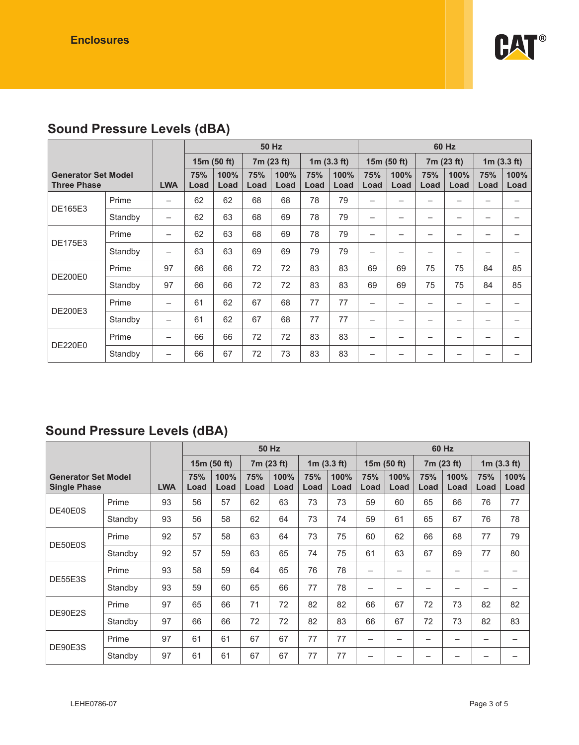

# **Sound Pressure Levels (dBA)**

|                                                  |         |                          | <b>50 Hz</b> |              |             |              |               |              |                          | 60 Hz                    |             |              |               |              |  |
|--------------------------------------------------|---------|--------------------------|--------------|--------------|-------------|--------------|---------------|--------------|--------------------------|--------------------------|-------------|--------------|---------------|--------------|--|
|                                                  |         |                          | 15m (50 ft)  |              | 7m (23 ft)  |              | 1 $m(3.3 ft)$ |              | 15 $m(50 ft)$            |                          | 7m (23 ft)  |              | 1 $m(3.3 ft)$ |              |  |
| <b>Generator Set Model</b><br><b>Three Phase</b> |         | <b>LWA</b>               | 75%<br>Load  | 100%<br>Load | 75%<br>Load | 100%<br>Load | 75%<br>Load   | 100%<br>Load | 75%<br>Load              | 100%<br>Load             | 75%<br>Load | 100%<br>Load | 75%<br>Load   | 100%<br>Load |  |
|                                                  | Prime   | $\overline{\phantom{m}}$ | 62           | 62           | 68          | 68           | 78            | 79           | $\overline{\phantom{0}}$ | $\overline{\phantom{0}}$ |             |              |               | —            |  |
| DE165E3                                          | Standby | $\overline{\phantom{0}}$ | 62           | 63           | 68          | 69           | 78            | 79           | -                        |                          |             |              |               |              |  |
|                                                  | Prime   | $\overline{\phantom{0}}$ | 62           | 63           | 68          | 69           | 78            | 79           | —                        | $\overline{\phantom{0}}$ |             |              |               |              |  |
| <b>DE175E3</b>                                   | Standby | $\overline{\phantom{0}}$ | 63           | 63           | 69          | 69           | 79            | 79           | -                        | $\overline{\phantom{0}}$ | -           | -            |               |              |  |
|                                                  | Prime   | 97                       | 66           | 66           | 72          | 72           | 83            | 83           | 69                       | 69                       | 75          | 75           | 84            | 85           |  |
| <b>DE200E0</b>                                   | Standby | 97                       | 66           | 66           | 72          | 72           | 83            | 83           | 69                       | 69                       | 75          | 75           | 84            | 85           |  |
| DE200E3                                          | Prime   | $\overline{\phantom{0}}$ | 61           | 62           | 67          | 68           | 77            | 77           | -                        | $\overline{\phantom{0}}$ | -           | -            |               |              |  |
|                                                  | Standby | $\overline{\phantom{m}}$ | 61           | 62           | 67          | 68           | 77            | 77           | —                        | -                        | -           | -            |               | -            |  |
| <b>DE220E0</b>                                   | Prime   | -                        | 66           | 66           | 72          | 72           | 83            | 83           | -                        | -                        |             |              |               |              |  |
|                                                  | Standby | $\overline{\phantom{0}}$ | 66           | 67           | 72          | 73           | 83            | 83           | —                        |                          |             |              |               |              |  |

## **Sound Pressure Levels (dBA)**

|                                                   |         |            | <b>50 Hz</b> |              |             |              |             |              | 60 Hz       |                          |             |              |             |               |  |
|---------------------------------------------------|---------|------------|--------------|--------------|-------------|--------------|-------------|--------------|-------------|--------------------------|-------------|--------------|-------------|---------------|--|
|                                                   |         |            |              | 15m (50 ft)  |             | 7m (23 ft)   |             | 1m(3.3 ft)   |             | 15m(50 ft)               |             | 7m (23 ft)   |             | 1 $m(3.3 ft)$ |  |
| <b>Generator Set Model</b><br><b>Single Phase</b> |         | <b>LWA</b> | 75%<br>Load  | 100%<br>Load | 75%<br>Load | 100%<br>Load | 75%<br>Load | 100%<br>Load | 75%<br>Load | 100%<br>Load             | 75%<br>Load | 100%<br>Load | 75%<br>Load | 100%<br>Load  |  |
|                                                   | Prime   | 93         | 56           | 57           | 62          | 63           | 73          | 73           | 59          | 60                       | 65          | 66           | 76          | 77            |  |
| DE40E0S                                           | Standby | 93         | 56           | 58           | 62          | 64           | 73          | 74           | 59          | 61                       | 65          | 67           | 76          | 78            |  |
| DE50E0S                                           | Prime   | 92         | 57           | 58           | 63          | 64           | 73          | 75           | 60          | 62                       | 66          | 68           | 77          | 79            |  |
|                                                   | Standby | 92         | 57           | 59           | 63          | 65           | 74          | 75           | 61          | 63                       | 67          | 69           | 77          | 80            |  |
|                                                   | Prime   | 93         | 58           | 59           | 64          | 65           | 76          | 78           | -           | $\overline{\phantom{0}}$ |             | -            | -           |               |  |
| DE55E3S                                           | Standby | 93         | 59           | 60           | 65          | 66           | 77          | 78           | -           |                          |             |              |             |               |  |
| DE90E2S                                           | Prime   | 97         | 65           | 66           | 71          | 72           | 82          | 82           | 66          | 67                       | 72          | 73           | 82          | 82            |  |
|                                                   | Standby | 97         | 66           | 66           | 72          | 72           | 82          | 83           | 66          | 67                       | 72          | 73           | 82          | 83            |  |
|                                                   | Prime   | 97         | 61           | 61           | 67          | 67           | 77          | 77           | -           |                          |             |              |             |               |  |
| DE90E3S                                           | Standby | 97         | 61           | 61           | 67          | 67           | 77          | 77           | -           |                          |             |              |             |               |  |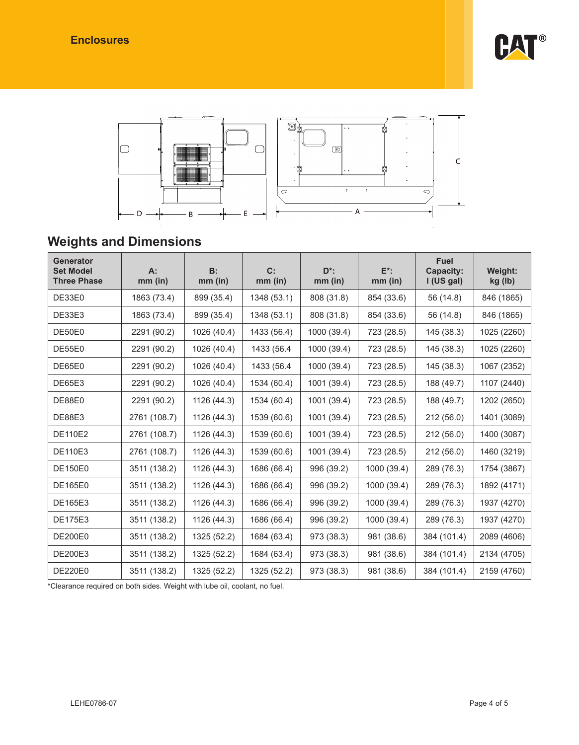



# **Weights and Dimensions**

| Generator<br><b>Set Model</b><br><b>Three Phase</b> | $A$ :<br>$mm$ (in) | B:<br>$mm$ (in) | C:<br>$mm$ (in) | $D^*$ :<br>$mm$ (in) | $E^*$ :<br>$mm$ (in) | <b>Fuel</b><br><b>Capacity:</b><br>I(US gal) | Weight:<br>kg (lb) |
|-----------------------------------------------------|--------------------|-----------------|-----------------|----------------------|----------------------|----------------------------------------------|--------------------|
| DE33E0                                              | 1863 (73.4)        | 899 (35.4)      | 1348 (53.1)     | 808 (31.8)           | 854 (33.6)           | 56 (14.8)                                    | 846 (1865)         |
| DE33E3                                              | 1863 (73.4)        | 899 (35.4)      | 1348 (53.1)     | 808 (31.8)           | 854 (33.6)           | 56 (14.8)                                    | 846 (1865)         |
| DE50E0                                              | 2291 (90.2)        | 1026 (40.4)     | 1433 (56.4)     | 1000 (39.4)          | 723 (28.5)           | 145 (38.3)                                   | 1025 (2260)        |
| DE55E0                                              | 2291 (90.2)        | 1026 (40.4)     | 1433 (56.4      | 1000 (39.4)          | 723 (28.5)           | 145 (38.3)                                   | 1025 (2260)        |
| DE65E0                                              | 2291 (90.2)        | 1026 (40.4)     | 1433 (56.4      | 1000 (39.4)          | 723 (28.5)           | 145 (38.3)                                   | 1067 (2352)        |
| <b>DE65E3</b>                                       | 2291 (90.2)        | 1026 (40.4)     | 1534 (60.4)     | 1001 (39.4)          | 723 (28.5)           | 188 (49.7)                                   | 1107 (2440)        |
| DE88E0                                              | 2291 (90.2)        | 1126 (44.3)     | 1534 (60.4)     | 1001 (39.4)          | 723 (28.5)           | 188 (49.7)                                   | 1202 (2650)        |
| <b>DE88E3</b>                                       | 2761 (108.7)       | 1126 (44.3)     | 1539 (60.6)     | 1001 (39.4)          | 723 (28.5)           | 212 (56.0)                                   | 1401 (3089)        |
| <b>DE110E2</b>                                      | 2761 (108.7)       | 1126 (44.3)     | 1539 (60.6)     | 1001 (39.4)          | 723 (28.5)           | 212(56.0)                                    | 1400 (3087)        |
| <b>DE110E3</b>                                      | 2761 (108.7)       | 1126 (44.3)     | 1539 (60.6)     | 1001 (39.4)          | 723 (28.5)           | 212(56.0)                                    | 1460 (3219)        |
| <b>DE150E0</b>                                      | 3511 (138.2)       | 1126 (44.3)     | 1686 (66.4)     | 996 (39.2)           | 1000 (39.4)          | 289 (76.3)                                   | 1754 (3867)        |
| <b>DE165E0</b>                                      | 3511 (138.2)       | 1126 (44.3)     | 1686 (66.4)     | 996 (39.2)           | 1000 (39.4)          | 289 (76.3)                                   | 1892 (4171)        |
| DE165E3                                             | 3511 (138.2)       | 1126 (44.3)     | 1686 (66.4)     | 996 (39.2)           | 1000 (39.4)          | 289 (76.3)                                   | 1937 (4270)        |
| <b>DE175E3</b>                                      | 3511 (138.2)       | 1126 (44.3)     | 1686 (66.4)     | 996 (39.2)           | 1000 (39.4)          | 289 (76.3)                                   | 1937 (4270)        |
| <b>DE200E0</b>                                      | 3511 (138.2)       | 1325 (52.2)     | 1684 (63.4)     | 973 (38.3)           | 981 (38.6)           | 384 (101.4)                                  | 2089 (4606)        |
| DE200E3                                             | 3511 (138.2)       | 1325 (52.2)     | 1684 (63.4)     | 973 (38.3)           | 981 (38.6)           | 384 (101.4)                                  | 2134 (4705)        |
| <b>DE220E0</b>                                      | 3511 (138.2)       | 1325 (52.2)     | 1325 (52.2)     | 973 (38.3)           | 981 (38.6)           | 384 (101.4)                                  | 2159 (4760)        |

\*Clearance required on both sides. Weight with lube oil, coolant, no fuel.